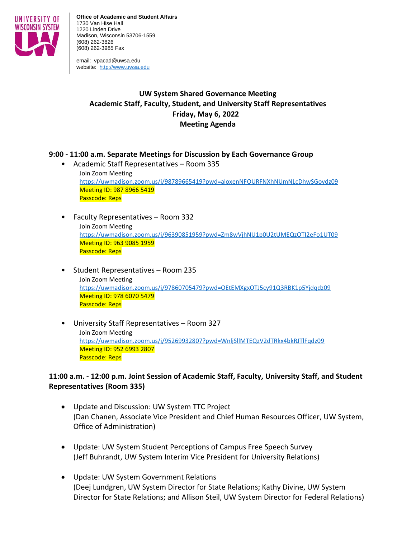

**Office of Academic and Student Affairs** 1730 Van Hise Hall 1220 Linden Drive Madison, Wisconsin 53706-1559 (608) 262-3826 (608) 262-3985 Fax

email: vpacad@uwsa.edu website: [http://www.uwsa.edu](http://www.uwsa.edu/)

# **UW System Shared Governance Meeting Academic Staff, Faculty, Student, and University Staff Representatives Friday, May 6, 2022 Meeting Agenda**

## **9:00 - 11:00 a.m. Separate Meetings for Discussion by Each Governance Group**

- Academic Staff Representatives Room 335 Join Zoom Meeting <https://uwmadison.zoom.us/j/98789665419?pwd=aloxenNFOURFNXhNUmNLcDhwSGoydz09> Meeting ID: 987 8966 5419 Passcode: Reps
- Faculty Representatives Room 332 Join Zoom Meeting <https://uwmadison.zoom.us/j/96390851959?pwd=Zm8wVjhNU1p0U2tUMEQzOTI2eFo1UT09> Meeting ID: 963 9085 1959 Passcode: Reps
- Student Representatives Room 235 Join Zoom Meeting <https://uwmadison.zoom.us/j/97860705479?pwd=OEtEMXgxOTJ5cy91Q3RBK1p5Yjdqdz09> Meeting ID: 978 6070 5479 Passcode: Reps
- University Staff Representatives Room 327 Join Zoom Meeting <https://uwmadison.zoom.us/j/95269932807?pwd=WnljSllMTEQzV2dTRkx4bkRJTlFqdz09> Meeting ID: 952 6993 2807 Passcode: Reps

## **11:00 a.m. - 12:00 p.m. Joint Session of Academic Staff, Faculty, University Staff, and Student Representatives (Room 335)**

- Update and Discussion: UW System TTC Project (Dan Chanen, Associate Vice President and Chief Human Resources Officer, UW System, Office of Administration)
- Update: UW System Student Perceptions of Campus Free Speech Survey (Jeff Buhrandt, UW System Interim Vice President for University Relations)
- Update: UW System Government Relations (Deej Lundgren, UW System Director for State Relations; Kathy Divine, UW System Director for State Relations; and Allison Steil, UW System Director for Federal Relations)